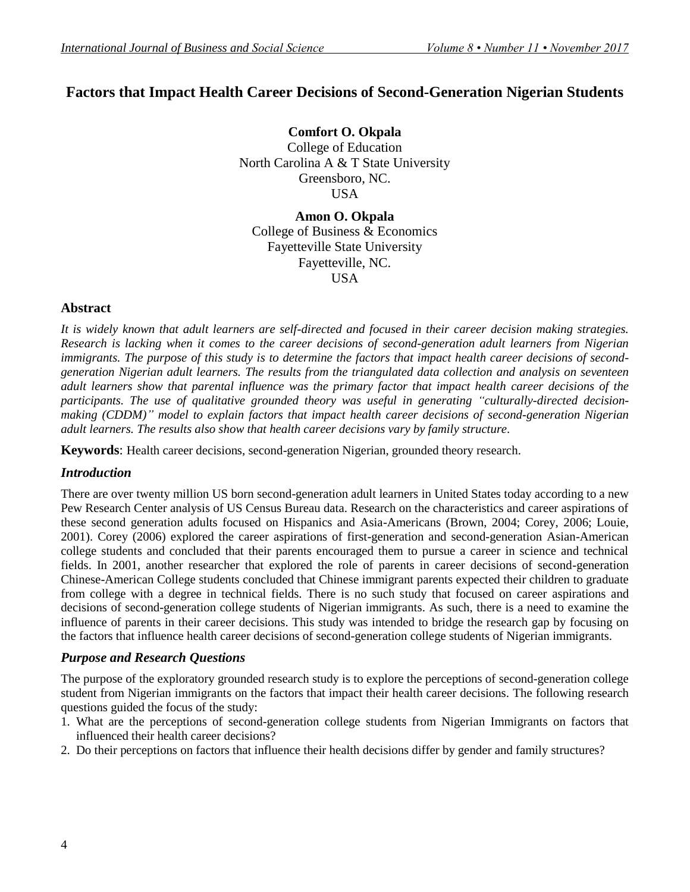# **Factors that Impact Health Career Decisions of Second-Generation Nigerian Students**

**Comfort O. Okpala** College of Education North Carolina A & T State University Greensboro, NC. USA

**Amon O. Okpala** College of Business & Economics Fayetteville State University Fayetteville, NC. USA

### **Abstract**

*It is widely known that adult learners are self-directed and focused in their career decision making strategies. Research is lacking when it comes to the career decisions of second-generation adult learners from Nigerian immigrants. The purpose of this study is to determine the factors that impact health career decisions of secondgeneration Nigerian adult learners. The results from the triangulated data collection and analysis on seventeen adult learners show that parental influence was the primary factor that impact health career decisions of the participants. The use of qualitative grounded theory was useful in generating "culturally-directed decisionmaking (CDDM)" model to explain factors that impact health career decisions of second-generation Nigerian adult learners. The results also show that health career decisions vary by family structure.*

**Keywords**: Health career decisions, second-generation Nigerian, grounded theory research.

### *Introduction*

There are over twenty million US born second-generation adult learners in United States today according to a new Pew Research Center analysis of US Census Bureau data. Research on the characteristics and career aspirations of these second generation adults focused on Hispanics and Asia-Americans (Brown, 2004; Corey, 2006; Louie, 2001). Corey (2006) explored the career aspirations of first-generation and second-generation Asian-American college students and concluded that their parents encouraged them to pursue a career in science and technical fields. In 2001, another researcher that explored the role of parents in career decisions of second-generation Chinese-American College students concluded that Chinese immigrant parents expected their children to graduate from college with a degree in technical fields. There is no such study that focused on career aspirations and decisions of second-generation college students of Nigerian immigrants. As such, there is a need to examine the influence of parents in their career decisions. This study was intended to bridge the research gap by focusing on the factors that influence health career decisions of second-generation college students of Nigerian immigrants.

### *Purpose and Research Questions*

The purpose of the exploratory grounded research study is to explore the perceptions of second-generation college student from Nigerian immigrants on the factors that impact their health career decisions. The following research questions guided the focus of the study:

- 1. What are the perceptions of second-generation college students from Nigerian Immigrants on factors that influenced their health career decisions?
- 2. Do their perceptions on factors that influence their health decisions differ by gender and family structures?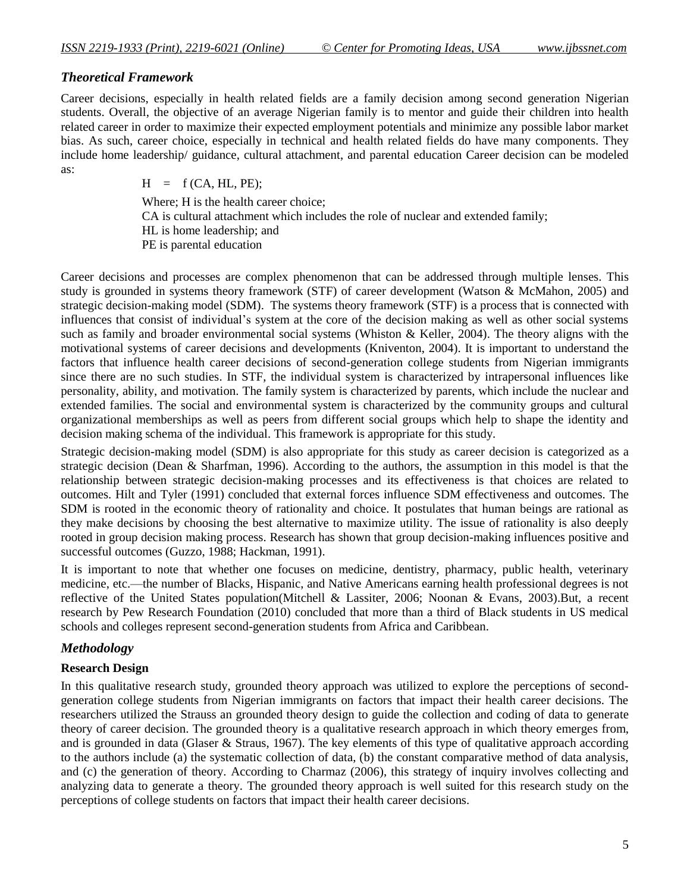### *Theoretical Framework*

Career decisions, especially in health related fields are a family decision among second generation Nigerian students. Overall, the objective of an average Nigerian family is to mentor and guide their children into health related career in order to maximize their expected employment potentials and minimize any possible labor market bias. As such, career choice, especially in technical and health related fields do have many components. They include home leadership/ guidance, cultural attachment, and parental education Career decision can be modeled as:

 $H = f(CA, HL, PE);$ 

Where; H is the health career choice; CA is cultural attachment which includes the role of nuclear and extended family; HL is home leadership; and PE is parental education

Career decisions and processes are complex phenomenon that can be addressed through multiple lenses. This study is grounded in systems theory framework (STF) of career development (Watson & McMahon, 2005) and strategic decision-making model (SDM). The systems theory framework (STF) is a process that is connected with influences that consist of individual's system at the core of the decision making as well as other social systems such as family and broader environmental social systems (Whiston & Keller, 2004). The theory aligns with the motivational systems of career decisions and developments (Kniventon, 2004). It is important to understand the factors that influence health career decisions of second-generation college students from Nigerian immigrants since there are no such studies. In STF, the individual system is characterized by intrapersonal influences like personality, ability, and motivation. The family system is characterized by parents, which include the nuclear and extended families. The social and environmental system is characterized by the community groups and cultural organizational memberships as well as peers from different social groups which help to shape the identity and decision making schema of the individual. This framework is appropriate for this study.

Strategic decision-making model (SDM) is also appropriate for this study as career decision is categorized as a strategic decision (Dean & Sharfman, 1996). According to the authors, the assumption in this model is that the relationship between strategic decision-making processes and its effectiveness is that choices are related to outcomes. Hilt and Tyler (1991) concluded that external forces influence SDM effectiveness and outcomes. The SDM is rooted in the economic theory of rationality and choice. It postulates that human beings are rational as they make decisions by choosing the best alternative to maximize utility. The issue of rationality is also deeply rooted in group decision making process. Research has shown that group decision-making influences positive and successful outcomes (Guzzo, 1988; Hackman, 1991).

It is important to note that whether one focuses on medicine, dentistry, pharmacy, public health, veterinary medicine, etc.—the number of Blacks, Hispanic, and Native Americans earning health professional degrees is not reflective of the United States population(Mitchell & Lassiter, 2006; Noonan & Evans, 2003).But, a recent research by Pew Research Foundation (2010) concluded that more than a third of Black students in US medical schools and colleges represent second-generation students from Africa and Caribbean.

### *Methodology*

### **Research Design**

In this qualitative research study, grounded theory approach was utilized to explore the perceptions of secondgeneration college students from Nigerian immigrants on factors that impact their health career decisions. The researchers utilized the Strauss an grounded theory design to guide the collection and coding of data to generate theory of career decision. The grounded theory is a qualitative research approach in which theory emerges from, and is grounded in data (Glaser & Straus, 1967). The key elements of this type of qualitative approach according to the authors include (a) the systematic collection of data, (b) the constant comparative method of data analysis, and (c) the generation of theory. According to Charmaz (2006), this strategy of inquiry involves collecting and analyzing data to generate a theory. The grounded theory approach is well suited for this research study on the perceptions of college students on factors that impact their health career decisions.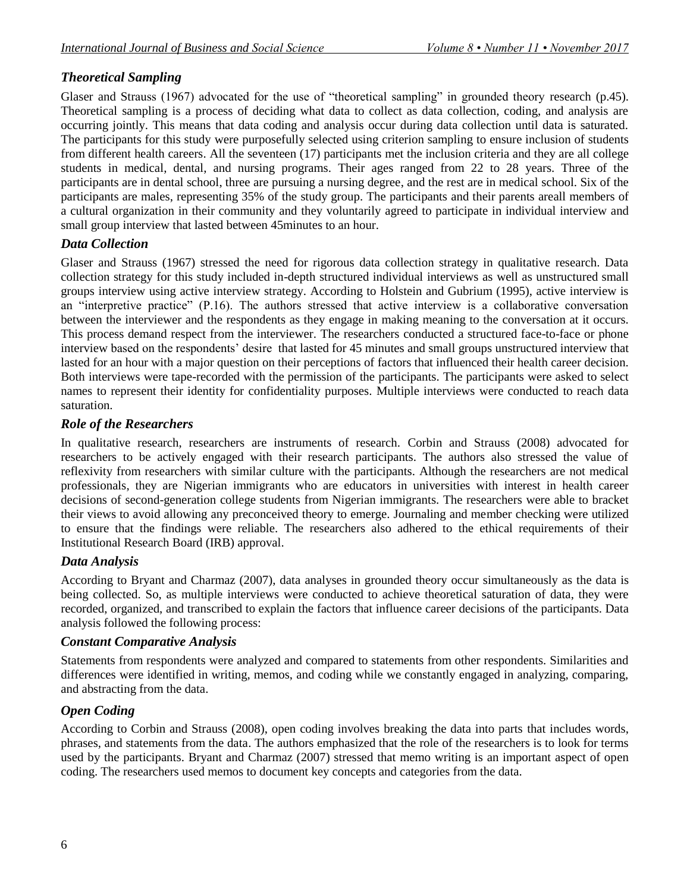# *Theoretical Sampling*

Glaser and Strauss (1967) advocated for the use of "theoretical sampling" in grounded theory research (p.45). Theoretical sampling is a process of deciding what data to collect as data collection, coding, and analysis are occurring jointly. This means that data coding and analysis occur during data collection until data is saturated. The participants for this study were purposefully selected using criterion sampling to ensure inclusion of students from different health careers. All the seventeen (17) participants met the inclusion criteria and they are all college students in medical, dental, and nursing programs. Their ages ranged from 22 to 28 years. Three of the participants are in dental school, three are pursuing a nursing degree, and the rest are in medical school. Six of the participants are males, representing 35% of the study group. The participants and their parents areall members of a cultural organization in their community and they voluntarily agreed to participate in individual interview and small group interview that lasted between 45minutes to an hour.

# *Data Collection*

Glaser and Strauss (1967) stressed the need for rigorous data collection strategy in qualitative research. Data collection strategy for this study included in-depth structured individual interviews as well as unstructured small groups interview using active interview strategy. According to Holstein and Gubrium (1995), active interview is an "interpretive practice" (P.16). The authors stressed that active interview is a collaborative conversation between the interviewer and the respondents as they engage in making meaning to the conversation at it occurs. This process demand respect from the interviewer. The researchers conducted a structured face-to-face or phone interview based on the respondents' desire that lasted for 45 minutes and small groups unstructured interview that lasted for an hour with a major question on their perceptions of factors that influenced their health career decision. Both interviews were tape-recorded with the permission of the participants. The participants were asked to select names to represent their identity for confidentiality purposes. Multiple interviews were conducted to reach data saturation.

## *Role of the Researchers*

In qualitative research, researchers are instruments of research. Corbin and Strauss (2008) advocated for researchers to be actively engaged with their research participants. The authors also stressed the value of reflexivity from researchers with similar culture with the participants. Although the researchers are not medical professionals, they are Nigerian immigrants who are educators in universities with interest in health career decisions of second-generation college students from Nigerian immigrants. The researchers were able to bracket their views to avoid allowing any preconceived theory to emerge. Journaling and member checking were utilized to ensure that the findings were reliable. The researchers also adhered to the ethical requirements of their Institutional Research Board (IRB) approval.

### *Data Analysis*

According to Bryant and Charmaz (2007), data analyses in grounded theory occur simultaneously as the data is being collected. So, as multiple interviews were conducted to achieve theoretical saturation of data, they were recorded, organized, and transcribed to explain the factors that influence career decisions of the participants. Data analysis followed the following process:

### *Constant Comparative Analysis*

Statements from respondents were analyzed and compared to statements from other respondents. Similarities and differences were identified in writing, memos, and coding while we constantly engaged in analyzing, comparing, and abstracting from the data.

# *Open Coding*

According to Corbin and Strauss (2008), open coding involves breaking the data into parts that includes words, phrases, and statements from the data. The authors emphasized that the role of the researchers is to look for terms used by the participants. Bryant and Charmaz (2007) stressed that memo writing is an important aspect of open coding. The researchers used memos to document key concepts and categories from the data.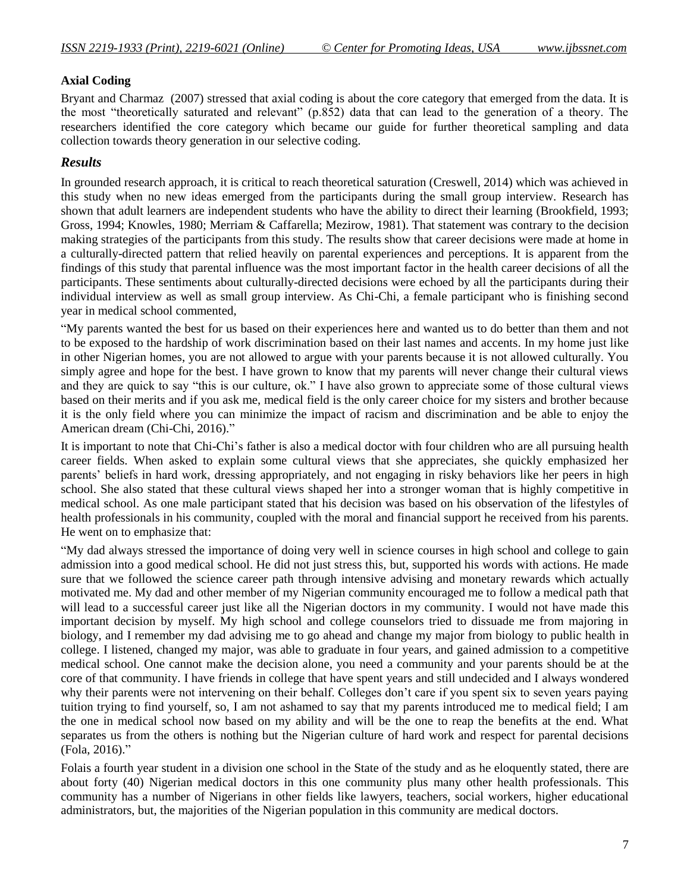### **Axial Coding**

Bryant and Charmaz (2007) stressed that axial coding is about the core category that emerged from the data. It is the most "theoretically saturated and relevant" (p.852) data that can lead to the generation of a theory. The researchers identified the core category which became our guide for further theoretical sampling and data collection towards theory generation in our selective coding.

### *Results*

In grounded research approach, it is critical to reach theoretical saturation (Creswell, 2014) which was achieved in this study when no new ideas emerged from the participants during the small group interview. Research has shown that adult learners are independent students who have the ability to direct their learning (Brookfield, 1993; Gross, 1994; Knowles, 1980; Merriam & Caffarella; Mezirow, 1981). That statement was contrary to the decision making strategies of the participants from this study. The results show that career decisions were made at home in a culturally-directed pattern that relied heavily on parental experiences and perceptions. It is apparent from the findings of this study that parental influence was the most important factor in the health career decisions of all the participants. These sentiments about culturally-directed decisions were echoed by all the participants during their individual interview as well as small group interview. As Chi-Chi, a female participant who is finishing second year in medical school commented,

"My parents wanted the best for us based on their experiences here and wanted us to do better than them and not to be exposed to the hardship of work discrimination based on their last names and accents. In my home just like in other Nigerian homes, you are not allowed to argue with your parents because it is not allowed culturally. You simply agree and hope for the best. I have grown to know that my parents will never change their cultural views and they are quick to say "this is our culture, ok." I have also grown to appreciate some of those cultural views based on their merits and if you ask me, medical field is the only career choice for my sisters and brother because it is the only field where you can minimize the impact of racism and discrimination and be able to enjoy the American dream (Chi-Chi, 2016)."

It is important to note that Chi-Chi's father is also a medical doctor with four children who are all pursuing health career fields. When asked to explain some cultural views that she appreciates, she quickly emphasized her parents' beliefs in hard work, dressing appropriately, and not engaging in risky behaviors like her peers in high school. She also stated that these cultural views shaped her into a stronger woman that is highly competitive in medical school. As one male participant stated that his decision was based on his observation of the lifestyles of health professionals in his community, coupled with the moral and financial support he received from his parents. He went on to emphasize that:

"My dad always stressed the importance of doing very well in science courses in high school and college to gain admission into a good medical school. He did not just stress this, but, supported his words with actions. He made sure that we followed the science career path through intensive advising and monetary rewards which actually motivated me. My dad and other member of my Nigerian community encouraged me to follow a medical path that will lead to a successful career just like all the Nigerian doctors in my community. I would not have made this important decision by myself. My high school and college counselors tried to dissuade me from majoring in biology, and I remember my dad advising me to go ahead and change my major from biology to public health in college. I listened, changed my major, was able to graduate in four years, and gained admission to a competitive medical school. One cannot make the decision alone, you need a community and your parents should be at the core of that community. I have friends in college that have spent years and still undecided and I always wondered why their parents were not intervening on their behalf. Colleges don't care if you spent six to seven years paying tuition trying to find yourself, so, I am not ashamed to say that my parents introduced me to medical field; I am the one in medical school now based on my ability and will be the one to reap the benefits at the end. What separates us from the others is nothing but the Nigerian culture of hard work and respect for parental decisions (Fola, 2016)."

Folais a fourth year student in a division one school in the State of the study and as he eloquently stated, there are about forty (40) Nigerian medical doctors in this one community plus many other health professionals. This community has a number of Nigerians in other fields like lawyers, teachers, social workers, higher educational administrators, but, the majorities of the Nigerian population in this community are medical doctors.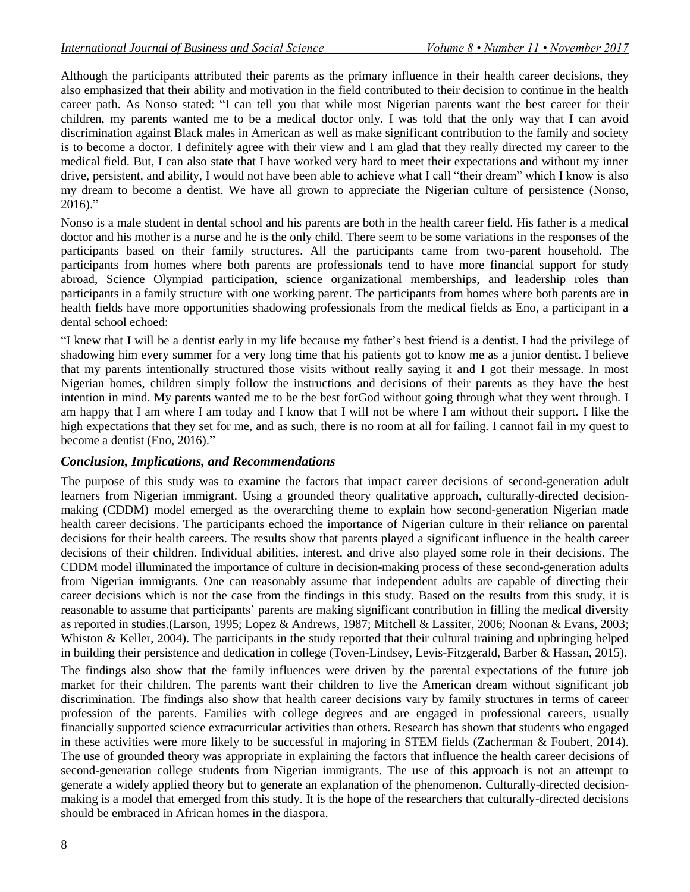Although the participants attributed their parents as the primary influence in their health career decisions, they also emphasized that their ability and motivation in the field contributed to their decision to continue in the health career path. As Nonso stated: "I can tell you that while most Nigerian parents want the best career for their children, my parents wanted me to be a medical doctor only. I was told that the only way that I can avoid discrimination against Black males in American as well as make significant contribution to the family and society is to become a doctor. I definitely agree with their view and I am glad that they really directed my career to the medical field. But, I can also state that I have worked very hard to meet their expectations and without my inner drive, persistent, and ability, I would not have been able to achieve what I call "their dream" which I know is also my dream to become a dentist. We have all grown to appreciate the Nigerian culture of persistence (Nonso, 2016)."

Nonso is a male student in dental school and his parents are both in the health career field. His father is a medical doctor and his mother is a nurse and he is the only child. There seem to be some variations in the responses of the participants based on their family structures. All the participants came from two-parent household. The participants from homes where both parents are professionals tend to have more financial support for study abroad, Science Olympiad participation, science organizational memberships, and leadership roles than participants in a family structure with one working parent. The participants from homes where both parents are in health fields have more opportunities shadowing professionals from the medical fields as Eno, a participant in a dental school echoed:

"I knew that I will be a dentist early in my life because my father's best friend is a dentist. I had the privilege of shadowing him every summer for a very long time that his patients got to know me as a junior dentist. I believe that my parents intentionally structured those visits without really saying it and I got their message. In most Nigerian homes, children simply follow the instructions and decisions of their parents as they have the best intention in mind. My parents wanted me to be the best forGod without going through what they went through. I am happy that I am where I am today and I know that I will not be where I am without their support. I like the high expectations that they set for me, and as such, there is no room at all for failing. I cannot fail in my quest to become a dentist (Eno, 2016)."

### *Conclusion, Implications, and Recommendations*

The purpose of this study was to examine the factors that impact career decisions of second-generation adult learners from Nigerian immigrant. Using a grounded theory qualitative approach, culturally-directed decisionmaking (CDDM) model emerged as the overarching theme to explain how second-generation Nigerian made health career decisions. The participants echoed the importance of Nigerian culture in their reliance on parental decisions for their health careers. The results show that parents played a significant influence in the health career decisions of their children. Individual abilities, interest, and drive also played some role in their decisions. The CDDM model illuminated the importance of culture in decision-making process of these second-generation adults from Nigerian immigrants. One can reasonably assume that independent adults are capable of directing their career decisions which is not the case from the findings in this study. Based on the results from this study, it is reasonable to assume that participants' parents are making significant contribution in filling the medical diversity as reported in studies.(Larson, 1995; Lopez & Andrews, 1987; Mitchell & Lassiter, 2006; Noonan & Evans, 2003; Whiston & Keller, 2004). The participants in the study reported that their cultural training and upbringing helped in building their persistence and dedication in college (Toven-Lindsey, Levis-Fitzgerald, Barber & Hassan, 2015).

The findings also show that the family influences were driven by the parental expectations of the future job market for their children. The parents want their children to live the American dream without significant job discrimination. The findings also show that health career decisions vary by family structures in terms of career profession of the parents. Families with college degrees and are engaged in professional careers, usually financially supported science extracurricular activities than others. Research has shown that students who engaged in these activities were more likely to be successful in majoring in STEM fields (Zacherman & Foubert, 2014). The use of grounded theory was appropriate in explaining the factors that influence the health career decisions of second-generation college students from Nigerian immigrants. The use of this approach is not an attempt to generate a widely applied theory but to generate an explanation of the phenomenon. Culturally-directed decisionmaking is a model that emerged from this study. It is the hope of the researchers that culturally-directed decisions should be embraced in African homes in the diaspora.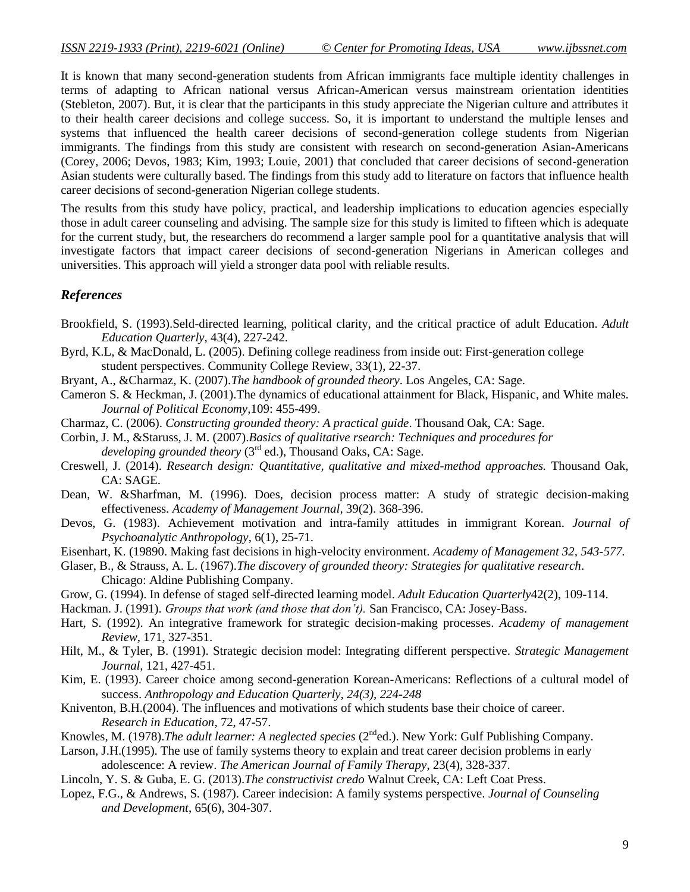It is known that many second-generation students from African immigrants face multiple identity challenges in terms of adapting to African national versus African-American versus mainstream orientation identities (Stebleton, 2007). But, it is clear that the participants in this study appreciate the Nigerian culture and attributes it to their health career decisions and college success. So, it is important to understand the multiple lenses and systems that influenced the health career decisions of second-generation college students from Nigerian immigrants. The findings from this study are consistent with research on second-generation Asian-Americans (Corey, 2006; Devos, 1983; Kim, 1993; Louie, 2001) that concluded that career decisions of second-generation Asian students were culturally based. The findings from this study add to literature on factors that influence health career decisions of second-generation Nigerian college students.

The results from this study have policy, practical, and leadership implications to education agencies especially those in adult career counseling and advising. The sample size for this study is limited to fifteen which is adequate for the current study, but, the researchers do recommend a larger sample pool for a quantitative analysis that will investigate factors that impact career decisions of second-generation Nigerians in American colleges and universities. This approach will yield a stronger data pool with reliable results.

### *References*

- Brookfield, S. (1993).Seld-directed learning, political clarity, and the critical practice of adult Education. *Adult Education Quarterly*, 43(4), 227-242.
- Byrd, K.L, & MacDonald, L. (2005). Defining college readiness from inside out: First-generation college student perspectives. Community College Review, 33(1), 22-37.
- Bryant, A., &Charmaz, K. (2007).*The handbook of grounded theory*. Los Angeles, CA: Sage.
- Cameron S. & Heckman, J. (2001).The dynamics of educational attainment for Black, Hispanic, and White males. *Journal of Political Economy,*109: 455-499.
- Charmaz, C. (2006). *Constructing grounded theory: A practical guide*. Thousand Oak, CA: Sage.
- Corbin, J. M., &Staruss, J. M. (2007).*Basics of qualitative rsearch: Techniques and procedures for developing grounded theory* (3rd ed.), Thousand Oaks, CA: Sage.
- Creswell, J. (2014). *Research design: Quantitative, qualitative and mixed-method approaches.* Thousand Oak, CA: SAGE.
- Dean, W. &Sharfman, M. (1996). Does, decision process matter: A study of strategic decision-making effectiveness. *Academy of Management Journal,* 39(2). 368-396.
- Devos, G. (1983). Achievement motivation and intra-family attitudes in immigrant Korean. *Journal of Psychoanalytic Anthropology*, 6(1), 25-71.
- Eisenhart, K. (19890. Making fast decisions in high-velocity environment. *Academy of Management 32, 543-577.*
- Glaser, B., & Strauss, A. L. (1967).*The discovery of grounded theory: Strategies for qualitative research*. Chicago: Aldine Publishing Company.
- Grow, G. (1994). In defense of staged self-directed learning model. *Adult Education Quarterly*42(2), 109-114.
- Hackman. J. (1991). *Groups that work (and those that don't).* San Francisco, CA: Josey-Bass.
- Hart, S. (1992). An integrative framework for strategic decision-making processes. *Academy of management Review,* 171, 327-351.
- Hilt, M., & Tyler, B. (1991). Strategic decision model: Integrating different perspective. *Strategic Management Journal,* 121, 427-451.
- Kim, E. (1993). Career choice among second-generation Korean-Americans: Reflections of a cultural model of success. *Anthropology and Education Quarterly, 24(3), 224-248*
- Kniventon, B.H.(2004). The influences and motivations of which students base their choice of career. *Research in Education*, 72, 47-57.
- Knowles, M. (1978).*The adult learner: A neglected species* (2nded.). New York: Gulf Publishing Company.
- Larson, J.H.(1995). The use of family systems theory to explain and treat career decision problems in early adolescence: A review. *The American Journal of Family Therapy*, 23(4), 328-337.
- Lincoln, Y. S. & Guba, E. G. (2013).*The constructivist credo* Walnut Creek, CA: Left Coat Press.
- Lopez, F.G., & Andrews, S. (1987). Career indecision: A family systems perspective. *Journal of Counseling and Development*, 65(6), 304-307.